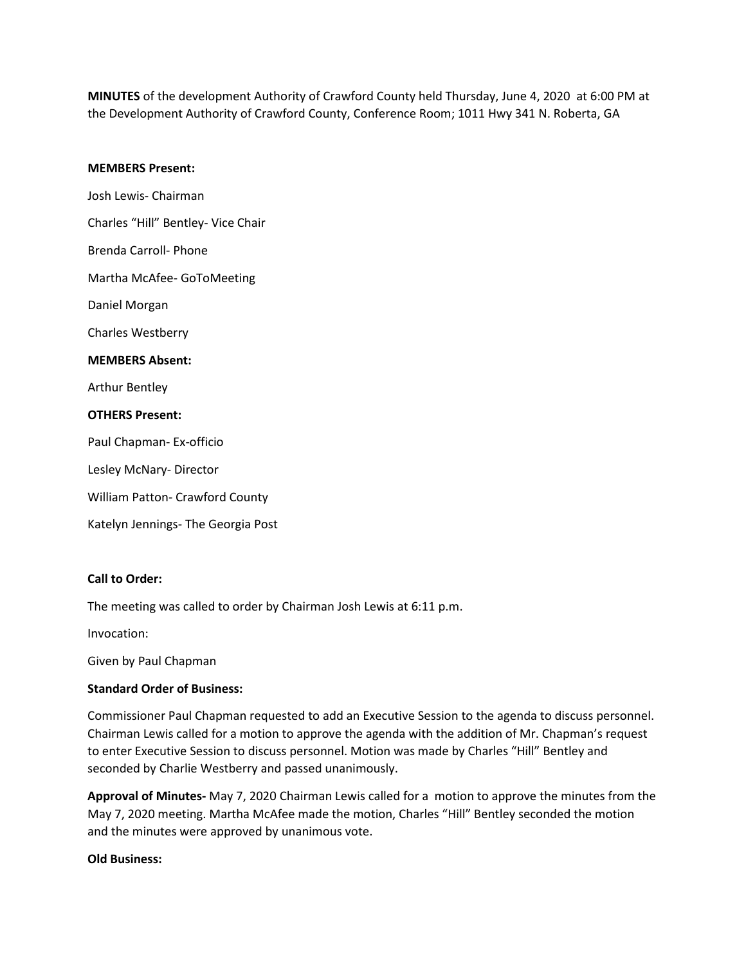**MINUTES** of the development Authority of Crawford County held Thursday, June 4, 2020 at 6:00 PM at the Development Authority of Crawford County, Conference Room; 1011 Hwy 341 N. Roberta, GA

### **MEMBERS Present:**

Josh Lewis- Chairman Charles "Hill" Bentley- Vice Chair Brenda Carroll- Phone Martha McAfee- GoToMeeting Daniel Morgan Charles Westberry **MEMBERS Absent:** Arthur Bentley **OTHERS Present:** Paul Chapman- Ex-officio Lesley McNary- Director William Patton- Crawford County Katelyn Jennings- The Georgia Post

## **Call to Order:**

The meeting was called to order by Chairman Josh Lewis at 6:11 p.m.

Invocation:

Given by Paul Chapman

### **Standard Order of Business:**

Commissioner Paul Chapman requested to add an Executive Session to the agenda to discuss personnel. Chairman Lewis called for a motion to approve the agenda with the addition of Mr. Chapman's request to enter Executive Session to discuss personnel. Motion was made by Charles "Hill" Bentley and seconded by Charlie Westberry and passed unanimously.

**Approval of Minutes-** May 7, 2020 Chairman Lewis called for a motion to approve the minutes from the May 7, 2020 meeting. Martha McAfee made the motion, Charles "Hill" Bentley seconded the motion and the minutes were approved by unanimous vote.

### **Old Business:**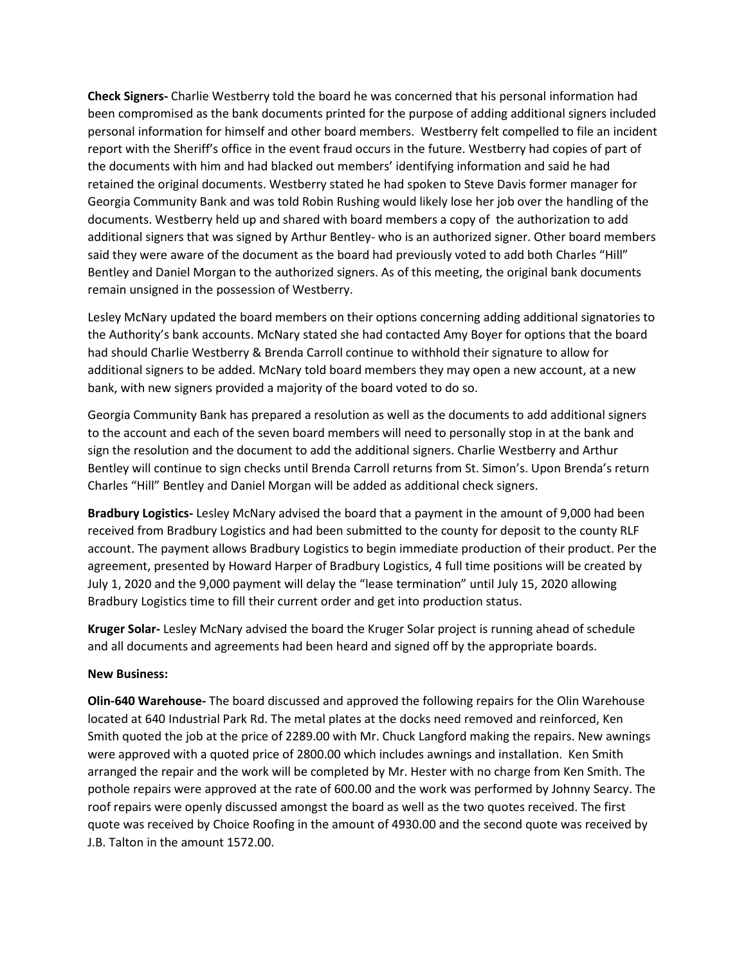**Check Signers-** Charlie Westberry told the board he was concerned that his personal information had been compromised as the bank documents printed for the purpose of adding additional signers included personal information for himself and other board members. Westberry felt compelled to file an incident report with the Sheriff's office in the event fraud occurs in the future. Westberry had copies of part of the documents with him and had blacked out members' identifying information and said he had retained the original documents. Westberry stated he had spoken to Steve Davis former manager for Georgia Community Bank and was told Robin Rushing would likely lose her job over the handling of the documents. Westberry held up and shared with board members a copy of the authorization to add additional signers that was signed by Arthur Bentley- who is an authorized signer. Other board members said they were aware of the document as the board had previously voted to add both Charles "Hill" Bentley and Daniel Morgan to the authorized signers. As of this meeting, the original bank documents remain unsigned in the possession of Westberry.

Lesley McNary updated the board members on their options concerning adding additional signatories to the Authority's bank accounts. McNary stated she had contacted Amy Boyer for options that the board had should Charlie Westberry & Brenda Carroll continue to withhold their signature to allow for additional signers to be added. McNary told board members they may open a new account, at a new bank, with new signers provided a majority of the board voted to do so.

Georgia Community Bank has prepared a resolution as well as the documents to add additional signers to the account and each of the seven board members will need to personally stop in at the bank and sign the resolution and the document to add the additional signers. Charlie Westberry and Arthur Bentley will continue to sign checks until Brenda Carroll returns from St. Simon's. Upon Brenda's return Charles "Hill" Bentley and Daniel Morgan will be added as additional check signers.

**Bradbury Logistics-** Lesley McNary advised the board that a payment in the amount of 9,000 had been received from Bradbury Logistics and had been submitted to the county for deposit to the county RLF account. The payment allows Bradbury Logistics to begin immediate production of their product. Per the agreement, presented by Howard Harper of Bradbury Logistics, 4 full time positions will be created by July 1, 2020 and the 9,000 payment will delay the "lease termination" until July 15, 2020 allowing Bradbury Logistics time to fill their current order and get into production status.

**Kruger Solar-** Lesley McNary advised the board the Kruger Solar project is running ahead of schedule and all documents and agreements had been heard and signed off by the appropriate boards.

# **New Business:**

**Olin-640 Warehouse-** The board discussed and approved the following repairs for the Olin Warehouse located at 640 Industrial Park Rd. The metal plates at the docks need removed and reinforced, Ken Smith quoted the job at the price of 2289.00 with Mr. Chuck Langford making the repairs. New awnings were approved with a quoted price of 2800.00 which includes awnings and installation. Ken Smith arranged the repair and the work will be completed by Mr. Hester with no charge from Ken Smith. The pothole repairs were approved at the rate of 600.00 and the work was performed by Johnny Searcy. The roof repairs were openly discussed amongst the board as well as the two quotes received. The first quote was received by Choice Roofing in the amount of 4930.00 and the second quote was received by J.B. Talton in the amount 1572.00.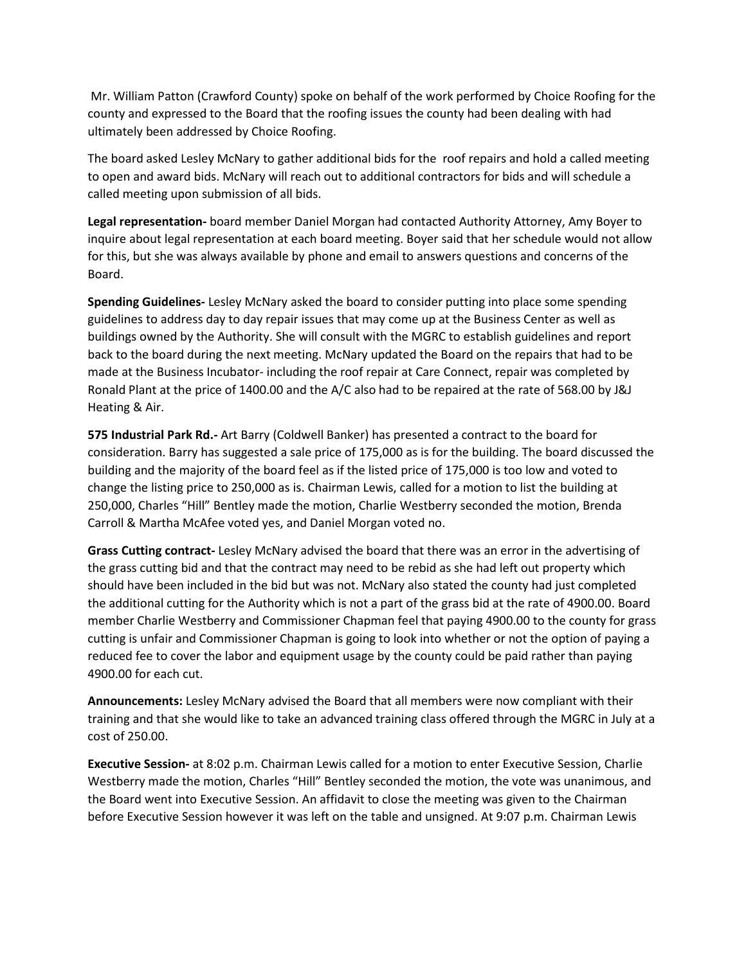Mr. William Patton (Crawford County) spoke on behalf of the work performed by Choice Roofing for the county and expressed to the Board that the roofing issues the county had been dealing with had ultimately been addressed by Choice Roofing.

The board asked Lesley McNary to gather additional bids for the roof repairs and hold a called meeting to open and award bids. McNary will reach out to additional contractors for bids and will schedule a called meeting upon submission of all bids.

**Legal representation-** board member Daniel Morgan had contacted Authority Attorney, Amy Boyer to inquire about legal representation at each board meeting. Boyer said that her schedule would not allow for this, but she was always available by phone and email to answers questions and concerns of the Board.

**Spending Guidelines-** Lesley McNary asked the board to consider putting into place some spending guidelines to address day to day repair issues that may come up at the Business Center as well as buildings owned by the Authority. She will consult with the MGRC to establish guidelines and report back to the board during the next meeting. McNary updated the Board on the repairs that had to be made at the Business Incubator- including the roof repair at Care Connect, repair was completed by Ronald Plant at the price of 1400.00 and the A/C also had to be repaired at the rate of 568.00 by J&J Heating & Air.

**575 Industrial Park Rd.-** Art Barry (Coldwell Banker) has presented a contract to the board for consideration. Barry has suggested a sale price of 175,000 as is for the building. The board discussed the building and the majority of the board feel as if the listed price of 175,000 is too low and voted to change the listing price to 250,000 as is. Chairman Lewis, called for a motion to list the building at 250,000, Charles "Hill" Bentley made the motion, Charlie Westberry seconded the motion, Brenda Carroll & Martha McAfee voted yes, and Daniel Morgan voted no.

**Grass Cutting contract-** Lesley McNary advised the board that there was an error in the advertising of the grass cutting bid and that the contract may need to be rebid as she had left out property which should have been included in the bid but was not. McNary also stated the county had just completed the additional cutting for the Authority which is not a part of the grass bid at the rate of 4900.00. Board member Charlie Westberry and Commissioner Chapman feel that paying 4900.00 to the county for grass cutting is unfair and Commissioner Chapman is going to look into whether or not the option of paying a reduced fee to cover the labor and equipment usage by the county could be paid rather than paying 4900.00 for each cut.

**Announcements:** Lesley McNary advised the Board that all members were now compliant with their training and that she would like to take an advanced training class offered through the MGRC in July at a cost of 250.00.

**Executive Session-** at 8:02 p.m. Chairman Lewis called for a motion to enter Executive Session, Charlie Westberry made the motion, Charles "Hill" Bentley seconded the motion, the vote was unanimous, and the Board went into Executive Session. An affidavit to close the meeting was given to the Chairman before Executive Session however it was left on the table and unsigned. At 9:07 p.m. Chairman Lewis